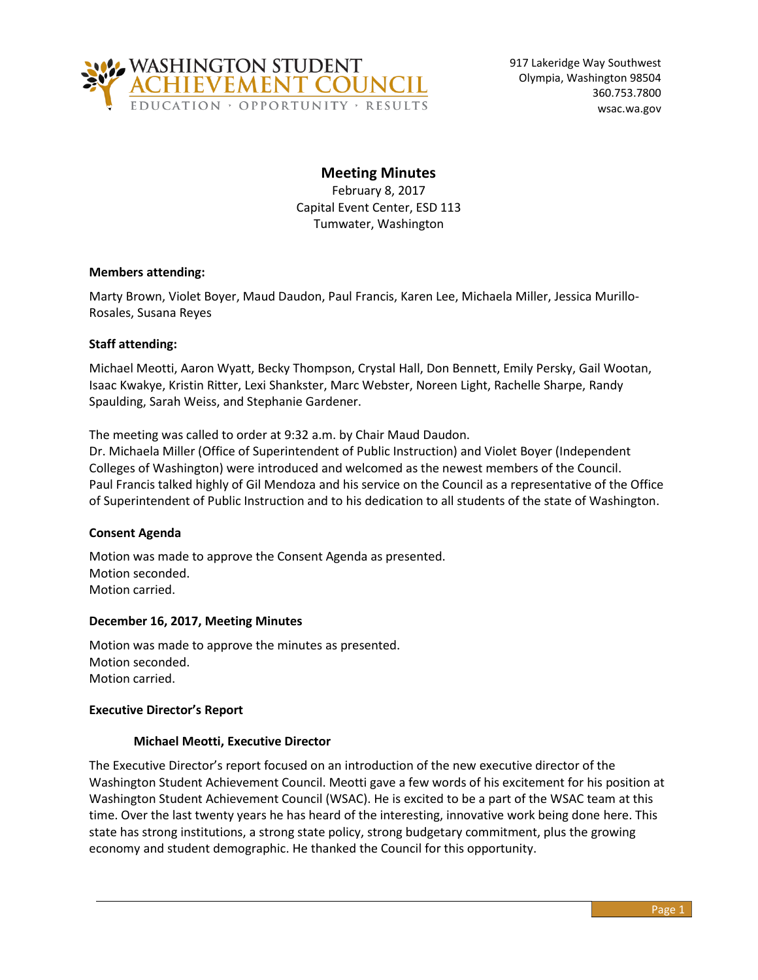

917 Lakeridge Way Southwest Olympia, Washington 98504 360.753.7800 wsac.wa.gov

# **Meeting Minutes**

February 8, 2017 Capital Event Center, ESD 113 Tumwater, Washington

### **Members attending:**

Marty Brown, Violet Boyer, Maud Daudon, Paul Francis, Karen Lee, Michaela Miller, Jessica Murillo-Rosales, Susana Reyes

## **Staff attending:**

Michael Meotti, Aaron Wyatt, Becky Thompson, Crystal Hall, Don Bennett, Emily Persky, Gail Wootan, Isaac Kwakye, Kristin Ritter, Lexi Shankster, Marc Webster, Noreen Light, Rachelle Sharpe, Randy Spaulding, Sarah Weiss, and Stephanie Gardener.

The meeting was called to order at 9:32 a.m. by Chair Maud Daudon.

Dr. Michaela Miller (Office of Superintendent of Public Instruction) and Violet Boyer (Independent Colleges of Washington) were introduced and welcomed as the newest members of the Council. Paul Francis talked highly of Gil Mendoza and his service on the Council as a representative of the Office of Superintendent of Public Instruction and to his dedication to all students of the state of Washington.

### **Consent Agenda**

Motion was made to approve the Consent Agenda as presented. Motion seconded. Motion carried.

### **December 16, 2017, Meeting Minutes**

Motion was made to approve the minutes as presented. Motion seconded. Motion carried.

### **Executive Director's Report**

### **Michael Meotti, Executive Director**

The Executive Director's report focused on an introduction of the new executive director of the Washington Student Achievement Council. Meotti gave a few words of his excitement for his position at Washington Student Achievement Council (WSAC). He is excited to be a part of the WSAC team at this time. Over the last twenty years he has heard of the interesting, innovative work being done here. This state has strong institutions, a strong state policy, strong budgetary commitment, plus the growing economy and student demographic. He thanked the Council for this opportunity.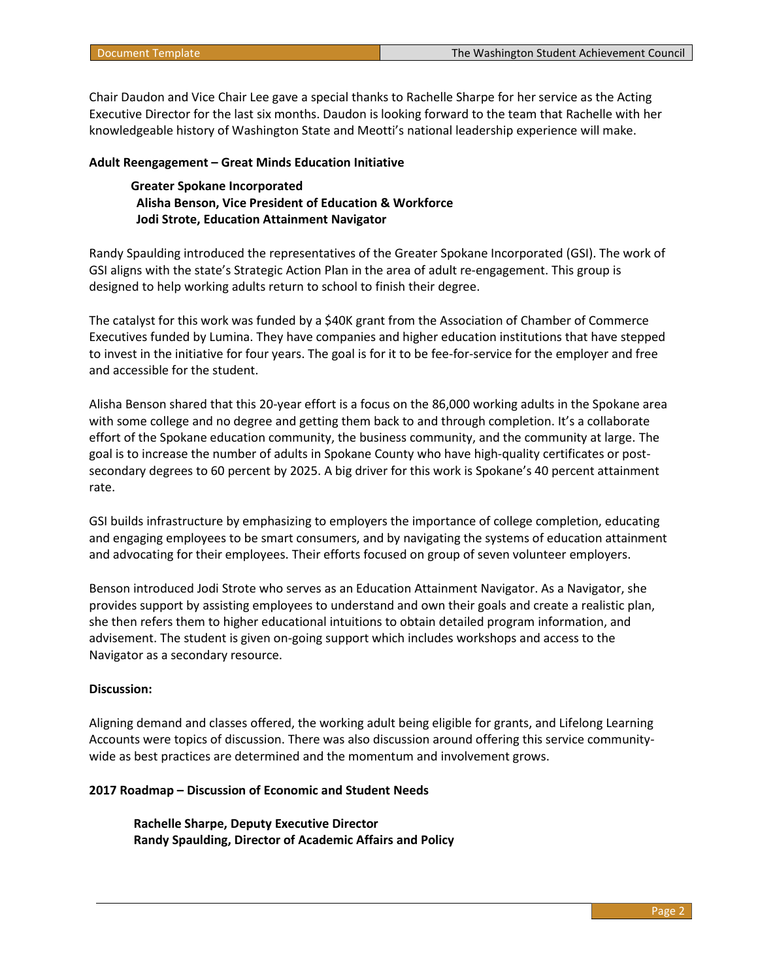Chair Daudon and Vice Chair Lee gave a special thanks to Rachelle Sharpe for her service as the Acting Executive Director for the last six months. Daudon is looking forward to the team that Rachelle with her knowledgeable history of Washington State and Meotti's national leadership experience will make.

#### **Adult Reengagement – Great Minds Education Initiative**

### **Greater Spokane Incorporated Alisha Benson, Vice President of Education & Workforce Jodi Strote, Education Attainment Navigator**

Randy Spaulding introduced the representatives of the Greater Spokane Incorporated (GSI). The work of GSI aligns with the state's Strategic Action Plan in the area of adult re-engagement. This group is designed to help working adults return to school to finish their degree.

The catalyst for this work was funded by a \$40K grant from the Association of Chamber of Commerce Executives funded by Lumina. They have companies and higher education institutions that have stepped to invest in the initiative for four years. The goal is for it to be fee-for-service for the employer and free and accessible for the student.

Alisha Benson shared that this 20-year effort is a focus on the 86,000 working adults in the Spokane area with some college and no degree and getting them back to and through completion. It's a collaborate effort of the Spokane education community, the business community, and the community at large. The goal is to increase the number of adults in Spokane County who have high-quality certificates or postsecondary degrees to 60 percent by 2025. A big driver for this work is Spokane's 40 percent attainment rate.

GSI builds infrastructure by emphasizing to employers the importance of college completion, educating and engaging employees to be smart consumers, and by navigating the systems of education attainment and advocating for their employees. Their efforts focused on group of seven volunteer employers.

Benson introduced Jodi Strote who serves as an Education Attainment Navigator. As a Navigator, she provides support by assisting employees to understand and own their goals and create a realistic plan, she then refers them to higher educational intuitions to obtain detailed program information, and advisement. The student is given on-going support which includes workshops and access to the Navigator as a secondary resource.

#### **Discussion:**

Aligning demand and classes offered, the working adult being eligible for grants, and Lifelong Learning Accounts were topics of discussion. There was also discussion around offering this service communitywide as best practices are determined and the momentum and involvement grows.

#### **2017 Roadmap – Discussion of Economic and Student Needs**

**Rachelle Sharpe, Deputy Executive Director Randy Spaulding, Director of Academic Affairs and Policy**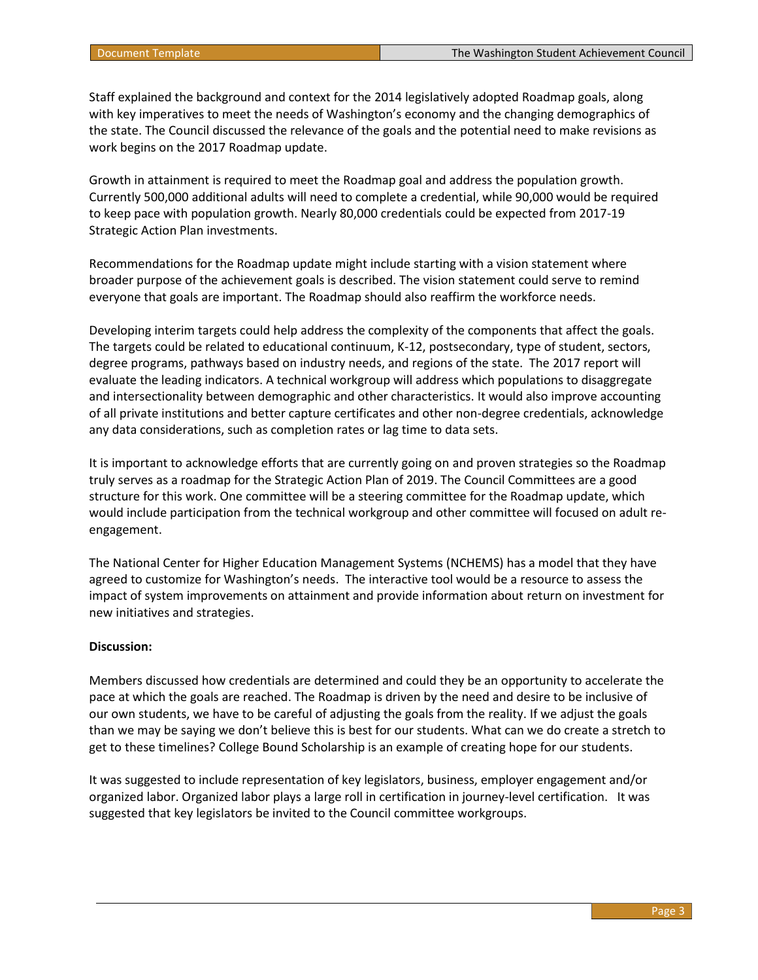Staff explained the background and context for the 2014 legislatively adopted Roadmap goals, along with key imperatives to meet the needs of Washington's economy and the changing demographics of the state. The Council discussed the relevance of the goals and the potential need to make revisions as work begins on the 2017 Roadmap update.

Growth in attainment is required to meet the Roadmap goal and address the population growth. Currently 500,000 additional adults will need to complete a credential, while 90,000 would be required to keep pace with population growth. Nearly 80,000 credentials could be expected from 2017-19 Strategic Action Plan investments.

Recommendations for the Roadmap update might include starting with a vision statement where broader purpose of the achievement goals is described. The vision statement could serve to remind everyone that goals are important. The Roadmap should also reaffirm the workforce needs.

Developing interim targets could help address the complexity of the components that affect the goals. The targets could be related to educational continuum, K-12, postsecondary, type of student, sectors, degree programs, pathways based on industry needs, and regions of the state. The 2017 report will evaluate the leading indicators. A technical workgroup will address which populations to disaggregate and intersectionality between demographic and other characteristics. It would also improve accounting of all private institutions and better capture certificates and other non-degree credentials, acknowledge any data considerations, such as completion rates or lag time to data sets.

It is important to acknowledge efforts that are currently going on and proven strategies so the Roadmap truly serves as a roadmap for the Strategic Action Plan of 2019. The Council Committees are a good structure for this work. One committee will be a steering committee for the Roadmap update, which would include participation from the technical workgroup and other committee will focused on adult reengagement.

The National Center for Higher Education Management Systems (NCHEMS) has a model that they have agreed to customize for Washington's needs. The interactive tool would be a resource to assess the impact of system improvements on attainment and provide information about return on investment for new initiatives and strategies.

#### **Discussion:**

Members discussed how credentials are determined and could they be an opportunity to accelerate the pace at which the goals are reached. The Roadmap is driven by the need and desire to be inclusive of our own students, we have to be careful of adjusting the goals from the reality. If we adjust the goals than we may be saying we don't believe this is best for our students. What can we do create a stretch to get to these timelines? College Bound Scholarship is an example of creating hope for our students.

It was suggested to include representation of key legislators, business, employer engagement and/or organized labor. Organized labor plays a large roll in certification in journey-level certification. It was suggested that key legislators be invited to the Council committee workgroups.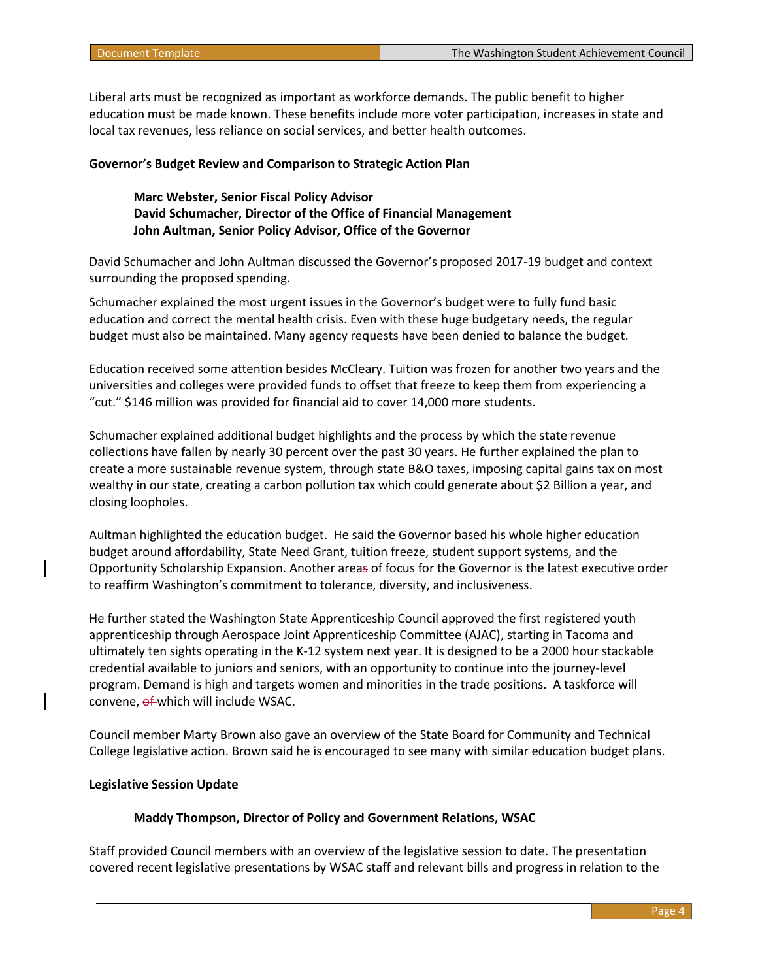Liberal arts must be recognized as important as workforce demands. The public benefit to higher education must be made known. These benefits include more voter participation, increases in state and local tax revenues, less reliance on social services, and better health outcomes.

#### **Governor's Budget Review and Comparison to Strategic Action Plan**

### **Marc Webster, Senior Fiscal Policy Advisor David Schumacher, Director of the Office of Financial Management John Aultman, Senior Policy Advisor, Office of the Governor**

David Schumacher and John Aultman discussed the Governor's proposed 2017-19 budget and context surrounding the proposed spending.

Schumacher explained the most urgent issues in the Governor's budget were to fully fund basic education and correct the mental health crisis. Even with these huge budgetary needs, the regular budget must also be maintained. Many agency requests have been denied to balance the budget.

Education received some attention besides McCleary. Tuition was frozen for another two years and the universities and colleges were provided funds to offset that freeze to keep them from experiencing a "cut." \$146 million was provided for financial aid to cover 14,000 more students.

Schumacher explained additional budget highlights and the process by which the state revenue collections have fallen by nearly 30 percent over the past 30 years. He further explained the plan to create a more sustainable revenue system, through state B&O taxes, imposing capital gains tax on most wealthy in our state, creating a carbon pollution tax which could generate about \$2 Billion a year, and closing loopholes.

Aultman highlighted the education budget. He said the Governor based his whole higher education budget around affordability, State Need Grant, tuition freeze, student support systems, and the Opportunity Scholarship Expansion. Another areas of focus for the Governor is the latest executive order to reaffirm Washington's commitment to tolerance, diversity, and inclusiveness.

He further stated the Washington State Apprenticeship Council approved the first registered youth apprenticeship through Aerospace Joint Apprenticeship Committee (AJAC), starting in Tacoma and ultimately ten sights operating in the K-12 system next year. It is designed to be a 2000 hour stackable credential available to juniors and seniors, with an opportunity to continue into the journey-level program. Demand is high and targets women and minorities in the trade positions. A taskforce will convene, of which will include WSAC.

Council member Marty Brown also gave an overview of the State Board for Community and Technical College legislative action. Brown said he is encouraged to see many with similar education budget plans.

### **Legislative Session Update**

#### **Maddy Thompson, Director of Policy and Government Relations, WSAC**

Staff provided Council members with an overview of the legislative session to date. The presentation covered recent legislative presentations by WSAC staff and relevant bills and progress in relation to the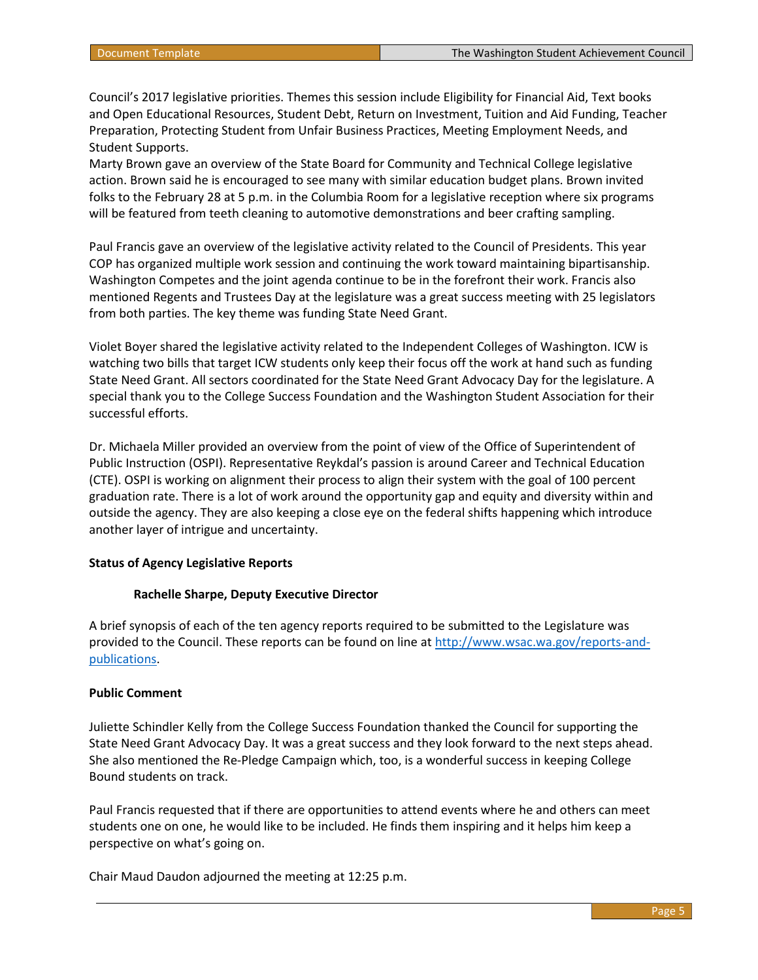Council's 2017 legislative priorities. Themes this session include Eligibility for Financial Aid, Text books and Open Educational Resources, Student Debt, Return on Investment, Tuition and Aid Funding, Teacher Preparation, Protecting Student from Unfair Business Practices, Meeting Employment Needs, and Student Supports.

Marty Brown gave an overview of the State Board for Community and Technical College legislative action. Brown said he is encouraged to see many with similar education budget plans. Brown invited folks to the February 28 at 5 p.m. in the Columbia Room for a legislative reception where six programs will be featured from teeth cleaning to automotive demonstrations and beer crafting sampling.

Paul Francis gave an overview of the legislative activity related to the Council of Presidents. This year COP has organized multiple work session and continuing the work toward maintaining bipartisanship. Washington Competes and the joint agenda continue to be in the forefront their work. Francis also mentioned Regents and Trustees Day at the legislature was a great success meeting with 25 legislators from both parties. The key theme was funding State Need Grant.

Violet Boyer shared the legislative activity related to the Independent Colleges of Washington. ICW is watching two bills that target ICW students only keep their focus off the work at hand such as funding State Need Grant. All sectors coordinated for the State Need Grant Advocacy Day for the legislature. A special thank you to the College Success Foundation and the Washington Student Association for their successful efforts.

Dr. Michaela Miller provided an overview from the point of view of the Office of Superintendent of Public Instruction (OSPI). Representative Reykdal's passion is around Career and Technical Education (CTE). OSPI is working on alignment their process to align their system with the goal of 100 percent graduation rate. There is a lot of work around the opportunity gap and equity and diversity within and outside the agency. They are also keeping a close eye on the federal shifts happening which introduce another layer of intrigue and uncertainty.

#### **Status of Agency Legislative Reports**

#### **Rachelle Sharpe, Deputy Executive Director**

A brief synopsis of each of the ten agency reports required to be submitted to the Legislature was provided to the Council. These reports can be found on line at [http://www.wsac.wa.gov/reports-and](http://www.wsac.wa.gov/reports-and-publications)[publications.](http://www.wsac.wa.gov/reports-and-publications)

#### **Public Comment**

Juliette Schindler Kelly from the College Success Foundation thanked the Council for supporting the State Need Grant Advocacy Day. It was a great success and they look forward to the next steps ahead. She also mentioned the Re-Pledge Campaign which, too, is a wonderful success in keeping College Bound students on track.

Paul Francis requested that if there are opportunities to attend events where he and others can meet students one on one, he would like to be included. He finds them inspiring and it helps him keep a perspective on what's going on.

Chair Maud Daudon adjourned the meeting at 12:25 p.m.